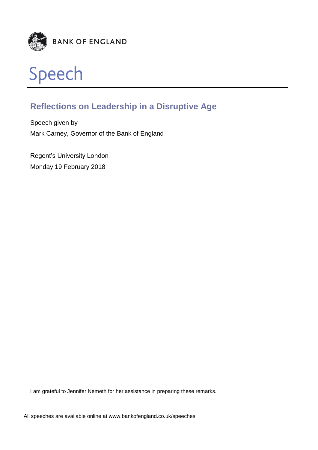



# **Reflections on Leadership in a Disruptive Age**

Speech given by Mark Carney, Governor of the Bank of England

Regent's University London Monday 19 February 2018

I am grateful to Jennifer Nemeth for her assistance in preparing these remarks.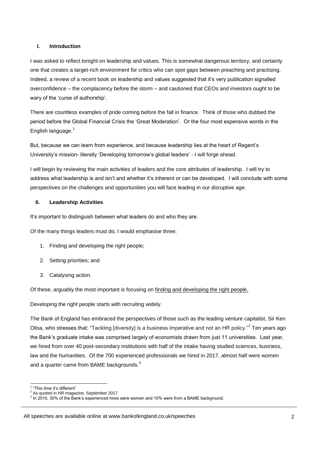### **I. Introduction**

I was asked to reflect tonight on leadership and values. This is somewhat dangerous territory, and certainly one that creates a target-rich environment for critics who can spot gaps between preaching and practising. Indeed, a review of a recent book on leadership and values suggested that it's very publication signalled overconfidence – the complacency before the storm – and cautioned that CEOs and investors ought to be wary of the 'curse of authorship'.

There are countless examples of pride coming before the fall in finance. Think of those who dubbed the period before the Global Financial Crisis the 'Great Moderation'. Or the four most expensive words in the English language. $1$ 

But, because we can learn from experience, and because leadership lies at the heart of Regent's University's mission- literally 'Developing tomorrow's global leaders' - I will forge ahead.

I will begin by reviewing the main activities of leaders and the core attributes of leadership. I will try to address what leadership is and isn't and whether it's inherent or can be developed. I will conclude with some perspectives on the challenges and opportunities you will face leading in our disruptive age.

### **II. Leadership Activities**

It's important to distinguish between what leaders do and who they are.

Of the many things leaders must do, I would emphasise three:

- 1. Finding and developing the right people;
- 2. Setting priorities; and
- 3. Catalysing action.

Of these, arguably the most important is focusing on finding and developing the right people.

Developing the right people starts with recruiting widely.

The Bank of England has embraced the perspectives of those such as the leading venture capitalist, Sir Ken Olisa, who stresses that: "Tackling [diversity] is a business imperative and not an HR policy."<sup>2</sup> Ten years ago the Bank's graduate intake was comprised largely of economists drawn from just 11 universities. Last year, we hired from over 40 post-secondary institutions with half of the intake having studied sciences, business, law and the humanities. Of the 700 experienced professionals we hired in 2017, almost half were women and a quarter came from BAME backgrounds. $3$ 

 1 "This time it's different"

 $2<sup>2</sup>$  As quoted in HR magazine, September 2017.

 $3$  In 2010, 30% of the Bank's experienced hires were women and 10% were from a BAME background.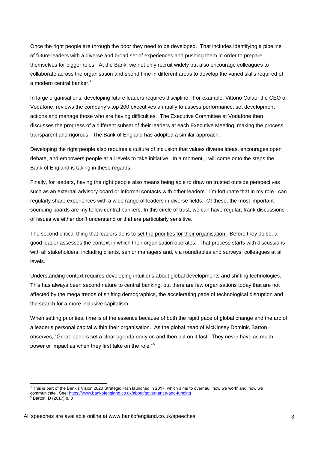Once the right people are through the door they need to be developed. That includes identifying a pipeline of future leaders with a diverse and broad set of experiences and pushing them in order to prepare themselves for bigger roles. At the Bank, we not only recruit widely but also encourage colleagues to collaborate across the organisation and spend time in different areas to develop the varied skills required of a modern central banker.<sup>4</sup>

In large organisations, developing future leaders requires discipline. For example, Vittorio Colao, the CEO of Vodafone, reviews the company's top 200 executives annually to assess performance, set development actions and manage those who are having difficulties. The Executive Committee at Vodafone then discusses the progress of a different subset of their leaders at each Executive Meeting, making the process transparent and rigorous. The Bank of England has adopted a similar approach.

Developing the right people also requires a culture of inclusion that values diverse ideas, encourages open debate, and empowers people at all levels to take initiative. In a moment, I will come onto the steps the Bank of England is taking in these regards.

Finally, for leaders, having the right people also means being able to draw on trusted outside perspectives such as an external advisory board or informal contacts with other leaders. I'm fortunate that in my role I can regularly share experiences with a wide range of leaders in diverse fields. Of these, the most important sounding boards are my fellow central bankers. In this circle of trust, we can have regular, frank discussions of issues we either don't understand or that are particularly sensitive.

The second critical thing that leaders do is to set the priorities for their organisation. Before they do so, a good leader assesses the context in which their organisation operates. That process starts with discussions with all stakeholders, including clients, senior managers and, via roundtables and surveys, colleagues at all levels.

Understanding context requires developing intuitions about global developments and shifting technologies. This has always been second nature to central banking, but there are few organisations today that are not affected by the mega trends of shifting demographics, the accelerating pace of technological disruption and the search for a more inclusive capitalism.

When setting priorities, time is of the essence because of both the rapid pace of global change and the arc of a leader's personal capital within their organisation. As the global head of McKinsey Dominic Barton observes, "Great leaders set a clear agenda early on and then act on it fast. They never have as much power or impact as when they first take on the role."<sup>5</sup>

 4 This is part of the Bank's Vision 2020 Strategic Plan launched in 2017, which aims to overhaul 'how we work' and 'how we communicate'. See: <u>https://www.bankofengland.co.uk/about/governance-and-funding</u><br><sup>5</sup> Barton, D (2017) p. 3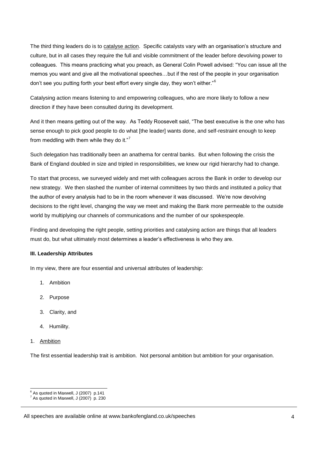The third thing leaders do is to catalyse action. Specific catalysts vary with an organisation's structure and culture, but in all cases they require the full and visible commitment of the leader before devolving power to colleagues. This means practicing what you preach, as General Colin Powell advised: "You can issue all the memos you want and give all the motivational speeches…but if the rest of the people in your organisation don't see you putting forth your best effort every single day, they won't either."<sup>6</sup>

Catalysing action means listening to and empowering colleagues, who are more likely to follow a new direction if they have been consulted during its development.

And it then means getting out of the way. As Teddy Roosevelt said, "The best executive is the one who has sense enough to pick good people to do what [the leader] wants done, and self-restraint enough to keep from meddling with them while they do it."<sup>7</sup>

Such delegation has traditionally been an anathema for central banks. But when following the crisis the Bank of England doubled in size and tripled in responsibilities, we knew our rigid hierarchy had to change.

To start that process, we surveyed widely and met with colleagues across the Bank in order to develop our new strategy. We then slashed the number of internal committees by two thirds and instituted a policy that the author of every analysis had to be in the room whenever it was discussed. We're now devolving decisions to the right level, changing the way we meet and making the Bank more permeable to the outside world by multiplying our channels of communications and the number of our spokespeople.

Finding and developing the right people, setting priorities and catalysing action are things that all leaders must do, but what ultimately most determines a leader's effectiveness is who they are.

### **III. Leadership Attributes**

In my view, there are four essential and universal attributes of leadership:

- 1. Ambition
- 2. Purpose
- 3. Clarity, and
- 4. Humility.
- 1. Ambition

1

The first essential leadership trait is ambition. Not personal ambition but ambition for your organisation.

 $6$  As quoted in Maxwell, J (2007) p.141

 $7^7$  As quoted in Maxwell, J (2007) p. 230

All speeches are available online at www.bankofengland.co.uk/speeches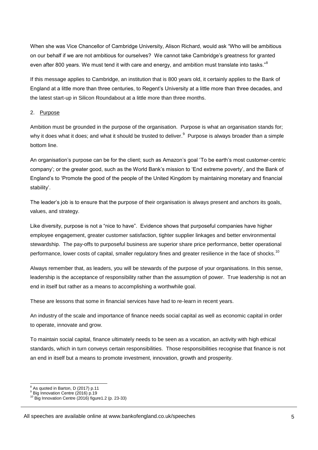When she was Vice Chancellor of Cambridge University, Alison Richard, would ask "Who will be ambitious on our behalf if we are not ambitious for ourselves? We cannot take Cambridge's greatness for granted even after 800 years. We must tend it with care and energy, and ambition must translate into tasks."<sup>8</sup>

If this message applies to Cambridge, an institution that is 800 years old, it certainly applies to the Bank of England at a little more than three centuries, to Regent's University at a little more than three decades, and the latest start-up in Silicon Roundabout at a little more than three months.

## 2. Purpose

Ambition must be grounded in the purpose of the organisation. Purpose is what an organisation stands for; why it does what it does; and what it should be trusted to deliver.<sup>9</sup> Purpose is always broader than a simple bottom line.

An organisation's purpose can be for the client; such as Amazon's goal 'To be earth's most customer-centric company'; or the greater good, such as the World Bank's mission to 'End extreme poverty', and the Bank of England's to 'Promote the good of the people of the United Kingdom by maintaining monetary and financial stability'.

The leader's job is to ensure that the purpose of their organisation is always present and anchors its goals, values, and strategy.

Like diversity, purpose is not a "nice to have". Evidence shows that purposeful companies have higher employee engagement, greater customer satisfaction, tighter supplier linkages and better environmental stewardship. The pay-offs to purposeful business are superior share price performance, better operational performance, lower costs of capital, smaller regulatory fines and greater resilience in the face of shocks.<sup>10</sup>

Always remember that, as leaders, you will be stewards of the purpose of your organisations. In this sense, leadership is the acceptance of responsibility rather than the assumption of power. True leadership is not an end in itself but rather as a means to accomplishing a worthwhile goal.

These are lessons that some in financial services have had to re-learn in recent years.

An industry of the scale and importance of finance needs social capital as well as economic capital in order to operate, innovate and grow.

To maintain social capital, finance ultimately needs to be seen as a vocation, an activity with high ethical standards, which in turn conveys certain responsibilities. Those responsibilities recognise that finance is not an end in itself but a means to promote investment, innovation, growth and prosperity.

<sup>1</sup>  $8$  As quoted in Barton, D (2017) p.11

<sup>&</sup>lt;sup>9</sup> Big Innovation Centre (2016) p.19

 $^{10}$  Big Innovation Centre (2016) figure1.2 (p. 23-33)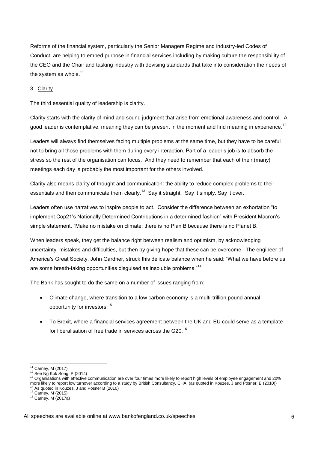Reforms of the financial system, particularly the Senior Managers Regime and industry-led Codes of Conduct, are helping to embed purpose in financial services including by making culture the responsibility of the CEO and the Chair and tasking industry with devising standards that take into consideration the needs of the system as whole. $11$ 

#### 3. Clarity

The third essential quality of leadership is clarity.

Clarity starts with the clarity of mind and sound judgment that arise from emotional awareness and control. A good leader is contemplative, meaning they can be present in the moment and find meaning in experience.<sup>12</sup>

Leaders will always find themselves facing multiple problems at the same time, but they have to be careful not to bring all those problems with them during every interaction. Part of a leader's job is to absorb the stress so the rest of the organisation can focus. And they need to remember that each of their (many) meetings each day is probably the most important for the others involved.

Clarity also means clarity of thought and communication: the ability to reduce complex problems to their essentials and then communicate them clearly.<sup>13</sup> Say it straight. Say it simply. Say it over.

Leaders often use narratives to inspire people to act. Consider the difference between an exhortation "to implement Cop21's Nationally Determined Contributions in a determined fashion" with President Macron's simple statement, "Make no mistake on climate: there is no Plan B because there is no Planet B."

When leaders speak, they get the balance right between realism and optimism, by acknowledging uncertainty, mistakes and difficulties, but then by giving hope that these can be overcome. The engineer of America's Great Society, John Gardner, struck this delicate balance when he said: "What we have before us are some breath-taking opportunities disguised as insoluble problems."<sup>14</sup>

The Bank has sought to do the same on a number of issues ranging from:

- Climate change, where transition to a low carbon economy is a multi-trillion pound annual opportunity for investors;<sup>15</sup>
- To Brexit, where a financial services agreement between the UK and EU could serve as a template for liberalisation of free trade in services across the G20.<sup>16</sup>

-

<sup>11</sup> Carney, M (2017)

<sup>12</sup> See Ng Kok Song, P (2014)

<sup>&</sup>lt;sup>13</sup> Organisations with effective communication are over four times more likely to report high levels of employee engagement and 20% more likely to report low turnover according to a study by British Consultancy, CHA (as quoted in Kouzes, J and Posner, B (2010)) As quoted in Kouzes, J and Posner B (2010)

<sup>15</sup> Carney, M (2015)

 $16$  Carney, M (2017a)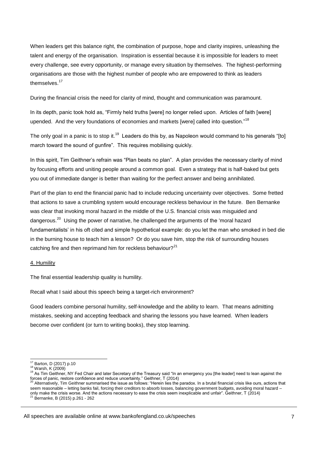When leaders get this balance right, the combination of purpose, hope and clarity inspires, unleashing the talent and energy of the organisation. Inspiration is essential because it is impossible for leaders to meet every challenge, see every opportunity, or manage every situation by themselves. The highest-performing organisations are those with the highest number of people who are empowered to think as leaders themselves.<sup>17</sup>

During the financial crisis the need for clarity of mind, thought and communication was paramount.

In its depth, panic took hold as, "Firmly held truths [were] no longer relied upon. Articles of faith [were] upended. And the very foundations of economies and markets [were] called into question."<sup>18</sup>

The only goal in a panic is to stop it.<sup>19</sup> Leaders do this by, as Napoleon would command to his generals "[to] march toward the sound of gunfire". This requires mobilising quickly.

In this spirit, Tim Geithner's refrain was "Plan beats no plan". A plan provides the necessary clarity of mind by focusing efforts and uniting people around a common goal. Even a strategy that is half-baked but gets you out of immediate danger is better than waiting for the perfect answer and being annihilated.

Part of the plan to end the financial panic had to include reducing uncertainty over objectives. Some fretted that actions to save a crumbling system would encourage reckless behaviour in the future. Ben Bernanke was clear that invoking moral hazard in the middle of the U.S. financial crisis was misguided and dangerous.<sup>20</sup> Using the power of narrative, he challenged the arguments of the 'moral hazard fundamentalists' in his oft cited and simple hypothetical example: do you let the man who smoked in bed die in the burning house to teach him a lesson? Or do you save him, stop the risk of surrounding houses catching fire and then reprimand him for reckless behaviour? $21$ 

### 4. Humility

The final essential leadership quality is humility.

Recall what I said about this speech being a target-rich environment?

Good leaders combine personal humility, self-knowledge and the ability to learn. That means admitting mistakes, seeking and accepting feedback and sharing the lessons you have learned. When leaders become over confident (or turn to writing books), they stop learning.

<sup>1</sup> <sup>17</sup> Barton, D (2017) p.10

<sup>18</sup> Warsh, K (2009)

<sup>19</sup> As Tim Geithner, NY Fed Chair and later Secretary of the Treasury said "In an emergency you [the leader] need to lean against the forces of panic, restore confidence and reduce uncertainty." Geithner, T (2014)<br><sup>20</sup> Alternatively, Tim Geithner summarised the issue as follows: "Herein lies the paradox. In a brutal financial crisis like ours, actions th

seem reasonable – letting banks fail, forcing their creditors to absorb losses, balancing government budgets, avoiding moral hazard – only make the crisis worse. And the actions necessary to ease the crisis seem inexplicable and unfair". Geithner, T (2014)<br><sup>21</sup> Bernanke, B (2015) p.261 - 262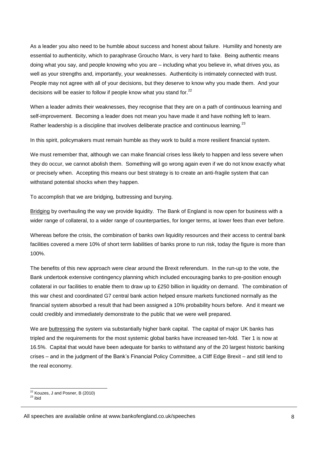As a leader you also need to be humble about success and honest about failure. Humility and honesty are essential to authenticity, which to paraphrase Groucho Marx, is very hard to fake. Being authentic means doing what you say, and people knowing who you are – including what you believe in, what drives you, as well as your strengths and, importantly, your weaknesses. Authenticity is intimately connected with trust. People may not agree with all of your decisions, but they deserve to know why you made them. And your decisions will be easier to follow if people know what you stand for. $22$ 

When a leader admits their weaknesses, they recognise that they are on a path of continuous learning and self-improvement. Becoming a leader does not mean you have made it and have nothing left to learn. Rather leadership is a discipline that involves deliberate practice and continuous learning. $^{23}$ 

In this spirit, policymakers must remain humble as they work to build a more resilient financial system.

We must remember that, although we can make financial crises less likely to happen and less severe when they do occur, we cannot abolish them. Something will go wrong again even if we do not know exactly what or precisely when. Accepting this means our best strategy is to create an anti-fragile system that can withstand potential shocks when they happen.

To accomplish that we are bridging, buttressing and burying.

Bridging by overhauling the way we provide liquidity. The Bank of England is now open for business with a wider range of collateral, to a wider range of counterparties, for longer terms, at lower fees than ever before.

Whereas before the crisis, the combination of banks own liquidity resources and their access to central bank facilities covered a mere 10% of short term liabilities of banks prone to run risk, today the figure is more than 100%.

The benefits of this new approach were clear around the Brexit referendum. In the run-up to the vote, the Bank undertook extensive contingency planning which included encouraging banks to pre-position enough collateral in our facilities to enable them to draw up to £250 billion in liquidity on demand. The combination of this war chest and coordinated G7 central bank action helped ensure markets functioned normally as the financial system absorbed a result that had been assigned a 10% probability hours before. And it meant we could credibly and immediately demonstrate to the public that we were well prepared.

We are buttressing the system via substantially higher bank capital. The capital of major UK banks has tripled and the requirements for the most systemic global banks have increased ten-fold. Tier 1 is now at 16.5%. Capital that would have been adequate for banks to withstand any of the 20 largest historic banking crises – and in the judgment of the Bank's Financial Policy Committee, a Cliff Edge Brexit – and still lend to the real economy.

<sup>1</sup>  $22$  Kouzes, J and Posner, B (2010)

 $^{23}$  ibid

All speeches are available online at www.bankofengland.co.uk/speeches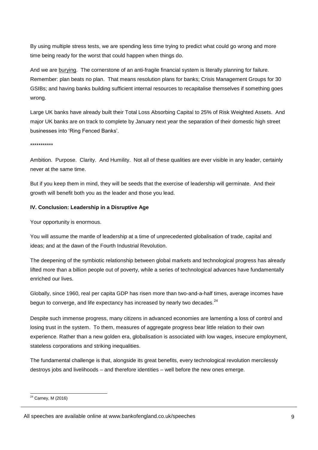By using multiple stress tests, we are spending less time trying to predict what could go wrong and more time being ready for the worst that could happen when things do.

And we are burying. The cornerstone of an anti-fragile financial system is literally planning for failure. Remember: plan beats no plan. That means resolution plans for banks; Crisis Management Groups for 30 GSIBs; and having banks building sufficient internal resources to recapitalise themselves if something goes wrong.

Large UK banks have already built their Total Loss Absorbing Capital to 25% of Risk Weighted Assets. And major UK banks are on track to complete by January next year the separation of their domestic high street businesses into 'Ring Fenced Banks'.

\*\*\*\*\*\*\*\*\*\*\*

Ambition. Purpose. Clarity. And Humility. Not all of these qualities are ever visible in any leader, certainly never at the same time.

But if you keep them in mind, they will be seeds that the exercise of leadership will germinate. And their growth will benefit both you as the leader and those you lead.

#### **IV. Conclusion: Leadership in a Disruptive Age**

Your opportunity is enormous.

You will assume the mantle of leadership at a time of unprecedented globalisation of trade, capital and ideas; and at the dawn of the Fourth Industrial Revolution.

The deepening of the symbiotic relationship between global markets and technological progress has already lifted more than a billion people out of poverty, while a series of technological advances have fundamentally enriched our lives.

Globally, since 1960, real per capita GDP has risen more than two-and-a-half times, average incomes have begun to converge, and life expectancy has increased by nearly two decades. $^{24}$ 

Despite such immense progress, many citizens in advanced economies are lamenting a loss of control and losing trust in the system. To them, measures of aggregate progress bear little relation to their own experience. Rather than a new golden era, globalisation is associated with low wages, insecure employment, stateless corporations and striking inequalities.

The fundamental challenge is that, alongside its great benefits, every technological revolution mercilessly destroys jobs and livelihoods – and therefore identities – well before the new ones emerge.

1

 $24$  Carney, M (2016)

All speeches are available online at www.bankofengland.co.uk/speeches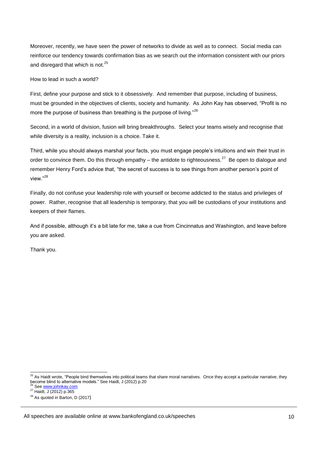Moreover, recently, we have seen the power of networks to divide as well as to connect. Social media can reinforce our tendency towards confirmation bias as we search out the information consistent with our priors and disregard that which is not. $25$ 

How to lead in such a world?

First, define your purpose and stick to it obsessively. And remember that purpose, including of business, must be grounded in the objectives of clients, society and humanity. As John Kay has observed, "Profit is no more the purpose of business than breathing is the purpose of living."<sup>26</sup>

Second, in a world of division, fusion will bring breakthroughs. Select your teams wisely and recognise that while diversity is a reality, inclusion is a choice. Take it.

Third, while you should always marshal your facts, you must engage people's intuitions and win their trust in order to convince them. Do this through empathy  $-$  the antidote to righteousness.<sup>27</sup> Be open to dialogue and remember Henry Ford's advice that, "the secret of success is to see things from another person's point of view."<sup>28</sup>

Finally, do not confuse your leadership role with yourself or become addicted to the status and privileges of power. Rather, recognise that all leadership is temporary, that you will be custodians of your institutions and keepers of their flames.

And if possible, although it's a bit late for me, take a cue from Cincinnatus and Washington, and leave before you are asked.

Thank you.

-

<sup>&</sup>lt;sup>25</sup> As Haidt wrote, "People bind themselves into political teams that share moral narratives. Once they accept a particular narrative, they become blind to alternative models." See Haidt, J (2012) p.20

<sup>&</sup>lt;sup>26</sup> See www.johnkay.com

<sup>&</sup>lt;sup>27</sup> Haidt, J (2012) p.365

 $28$  As quoted in Barton, D (2017)